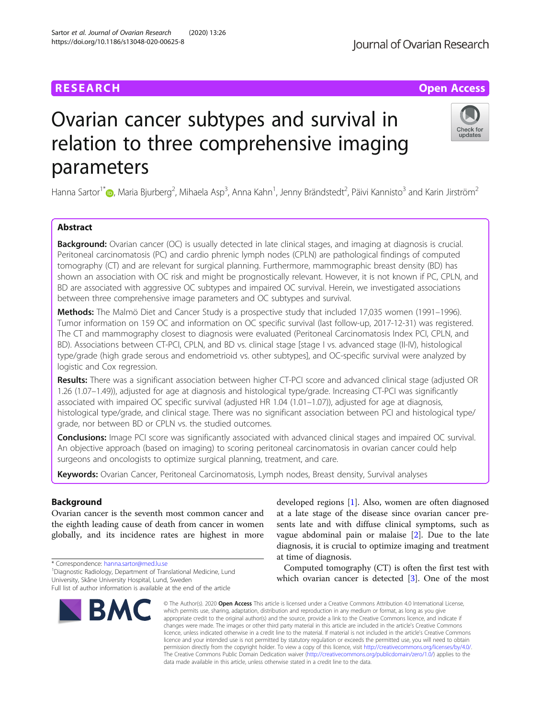# **RESEARCH CHE Open Access**

# Ovarian cancer subtypes and survival in relation to three comprehensive imaging parameters

Hanna Sartor<sup>1[\\*](http://orcid.org/0000-0002-1116-5199)</sup>�, Maria Bjurberg<sup>2</sup>, Mihaela Asp<sup>3</sup>, Anna Kahn<sup>1</sup>, Jenny Brändstedt<sup>2</sup>, Päivi Kannisto<sup>3</sup> and Karin Jirström<sup>2</sup>

# Abstract

Background: Ovarian cancer (OC) is usually detected in late clinical stages, and imaging at diagnosis is crucial. Peritoneal carcinomatosis (PC) and cardio phrenic lymph nodes (CPLN) are pathological findings of computed tomography (CT) and are relevant for surgical planning. Furthermore, mammographic breast density (BD) has shown an association with OC risk and might be prognostically relevant. However, it is not known if PC, CPLN, and BD are associated with aggressive OC subtypes and impaired OC survival. Herein, we investigated associations between three comprehensive image parameters and OC subtypes and survival.

Methods: The Malmö Diet and Cancer Study is a prospective study that included 17,035 women (1991–1996). Tumor information on 159 OC and information on OC specific survival (last follow-up, 2017-12-31) was registered. The CT and mammography closest to diagnosis were evaluated (Peritoneal Carcinomatosis Index PCI, CPLN, and BD). Associations between CT-PCI, CPLN, and BD vs. clinical stage [stage I vs. advanced stage (II-IV), histological type/grade (high grade serous and endometrioid vs. other subtypes], and OC-specific survival were analyzed by logistic and Cox regression.

Results: There was a significant association between higher CT-PCI score and advanced clinical stage (adjusted OR 1.26 (1.07–1.49)), adjusted for age at diagnosis and histological type/grade. Increasing CT-PCI was significantly associated with impaired OC specific survival (adjusted HR 1.04 (1.01–1.07)), adjusted for age at diagnosis, histological type/grade, and clinical stage. There was no significant association between PCI and histological type/ grade, nor between BD or CPLN vs. the studied outcomes.

**Conclusions:** Image PCI score was significantly associated with advanced clinical stages and impaired OC survival. An objective approach (based on imaging) to scoring peritoneal carcinomatosis in ovarian cancer could help surgeons and oncologists to optimize surgical planning, treatment, and care.

Keywords: Ovarian Cancer, Peritoneal Carcinomatosis, Lymph nodes, Breast density, Survival analyses

## Background

Ovarian cancer is the seventh most common cancer and the eighth leading cause of death from cancer in women globally, and its incidence rates are highest in more

\* Correspondence: [hanna.sartor@med.lu.se](mailto:hanna.sartor@med.lu.se) <sup>1</sup>

<sup>1</sup> Diagnostic Radiology, Department of Translational Medicine, Lund University, Skåne University Hospital, Lund, Sweden

# Sartor et al. Journal of Ovarian Research (2020) 13:26 https://doi.org/10.1186/s13048-020-00625-8

**BMC** 

developed regions [[1\]](#page-8-0). Also, women are often diagnosed at a late stage of the disease since ovarian cancer presents late and with diffuse clinical symptoms, such as vague abdominal pain or malaise [[2\]](#page-8-0). Due to the late diagnosis, it is crucial to optimize imaging and treatment at time of diagnosis.

Computed tomography (CT) is often the first test with which ovarian cancer is detected [[3\]](#page-8-0). One of the most

© The Author(s), 2020 **Open Access** This article is licensed under a Creative Commons Attribution 4.0 International License, which permits use, sharing, adaptation, distribution and reproduction in any medium or format, as long as you give appropriate credit to the original author(s) and the source, provide a link to the Creative Commons licence, and indicate if changes were made. The images or other third party material in this article are included in the article's Creative Commons licence, unless indicated otherwise in a credit line to the material. If material is not included in the article's Creative Commons licence and your intended use is not permitted by statutory regulation or exceeds the permitted use, you will need to obtain permission directly from the copyright holder. To view a copy of this licence, visit [http://creativecommons.org/licenses/by/4.0/.](http://creativecommons.org/licenses/by/4.0/) The Creative Commons Public Domain Dedication waiver [\(http://creativecommons.org/publicdomain/zero/1.0/](http://creativecommons.org/publicdomain/zero/1.0/)) applies to the data made available in this article, unless otherwise stated in a credit line to the data.





Full list of author information is available at the end of the article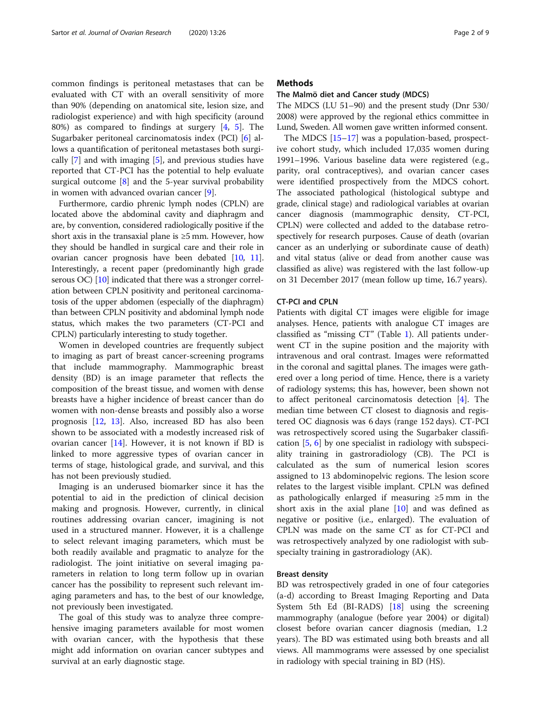common findings is peritoneal metastases that can be evaluated with CT with an overall sensitivity of more than 90% (depending on anatomical site, lesion size, and radiologist experience) and with high specificity (around 80%) as compared to findings at surgery [[4,](#page-8-0) [5](#page-8-0)]. The Sugarbaker peritoneal carcinomatosis index (PCI) [\[6](#page-8-0)] allows a quantification of peritoneal metastases both surgically  $[7]$  $[7]$  and with imaging  $[5]$  $[5]$ , and previous studies have reported that CT-PCI has the potential to help evaluate surgical outcome [[8\]](#page-8-0) and the 5-year survival probability in women with advanced ovarian cancer [\[9\]](#page-8-0).

Furthermore, cardio phrenic lymph nodes (CPLN) are located above the abdominal cavity and diaphragm and are, by convention, considered radiologically positive if the short axis in the transaxial plane is  $\geq$ 5 mm. However, how they should be handled in surgical care and their role in ovarian cancer prognosis have been debated [\[10,](#page-8-0) [11](#page-8-0)]. Interestingly, a recent paper (predominantly high grade serous OC) [[10](#page-8-0)] indicated that there was a stronger correlation between CPLN positivity and peritoneal carcinomatosis of the upper abdomen (especially of the diaphragm) than between CPLN positivity and abdominal lymph node status, which makes the two parameters (CT-PCI and CPLN) particularly interesting to study together.

Women in developed countries are frequently subject to imaging as part of breast cancer-screening programs that include mammography. Mammographic breast density (BD) is an image parameter that reflects the composition of the breast tissue, and women with dense breasts have a higher incidence of breast cancer than do women with non-dense breasts and possibly also a worse prognosis [[12,](#page-8-0) [13\]](#page-8-0). Also, increased BD has also been shown to be associated with a modestly increased risk of ovarian cancer [[14\]](#page-8-0). However, it is not known if BD is linked to more aggressive types of ovarian cancer in terms of stage, histological grade, and survival, and this has not been previously studied.

Imaging is an underused biomarker since it has the potential to aid in the prediction of clinical decision making and prognosis. However, currently, in clinical routines addressing ovarian cancer, imagining is not used in a structured manner. However, it is a challenge to select relevant imaging parameters, which must be both readily available and pragmatic to analyze for the radiologist. The joint initiative on several imaging parameters in relation to long term follow up in ovarian cancer has the possibility to represent such relevant imaging parameters and has, to the best of our knowledge, not previously been investigated.

The goal of this study was to analyze three comprehensive imaging parameters available for most women with ovarian cancer, with the hypothesis that these might add information on ovarian cancer subtypes and survival at an early diagnostic stage.

#### **Methods**

#### The Malmö diet and Cancer study (MDCS)

The MDCS (LU 51–90) and the present study (Dnr 530/ 2008) were approved by the regional ethics committee in Lund, Sweden. All women gave written informed consent.

The MDCS [\[15](#page-8-0)–[17\]](#page-8-0) was a population-based, prospective cohort study, which included 17,035 women during 1991–1996. Various baseline data were registered (e.g., parity, oral contraceptives), and ovarian cancer cases were identified prospectively from the MDCS cohort. The associated pathological (histological subtype and grade, clinical stage) and radiological variables at ovarian cancer diagnosis (mammographic density, CT-PCI, CPLN) were collected and added to the database retrospectively for research purposes. Cause of death (ovarian cancer as an underlying or subordinate cause of death) and vital status (alive or dead from another cause was classified as alive) was registered with the last follow-up on 31 December 2017 (mean follow up time, 16.7 years).

#### CT-PCI and CPLN

Patients with digital CT images were eligible for image analyses. Hence, patients with analogue CT images are classified as "missing CT" (Table [1](#page-2-0)). All patients underwent CT in the supine position and the majority with intravenous and oral contrast. Images were reformatted in the coronal and sagittal planes. The images were gathered over a long period of time. Hence, there is a variety of radiology systems; this has, however, been shown not to affect peritoneal carcinomatosis detection [\[4](#page-8-0)]. The median time between CT closest to diagnosis and registered OC diagnosis was 6 days (range 152 days). CT-PCI was retrospectively scored using the Sugarbaker classification [\[5,](#page-8-0) [6](#page-8-0)] by one specialist in radiology with subspeciality training in gastroradiology (CB). The PCI is calculated as the sum of numerical lesion scores assigned to 13 abdominopelvic regions. The lesion score relates to the largest visible implant. CPLN was defined as pathologically enlarged if measuring ≥5 mm in the short axis in the axial plane [[10\]](#page-8-0) and was defined as negative or positive (i.e., enlarged). The evaluation of CPLN was made on the same CT as for CT-PCI and was retrospectively analyzed by one radiologist with subspecialty training in gastroradiology (AK).

#### Breast density

BD was retrospectively graded in one of four categories (a-d) according to Breast Imaging Reporting and Data System 5th Ed (BI-RADS) [[18\]](#page-8-0) using the screening mammography (analogue (before year 2004) or digital) closest before ovarian cancer diagnosis (median, 1.2 years). The BD was estimated using both breasts and all views. All mammograms were assessed by one specialist in radiology with special training in BD (HS).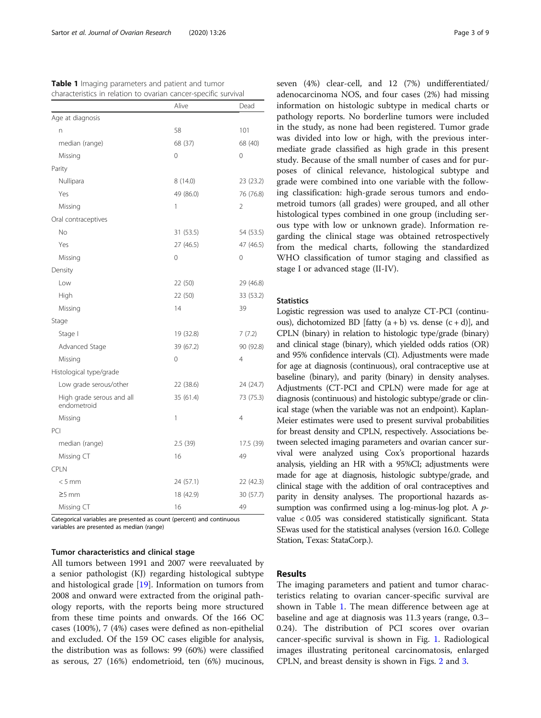<span id="page-2-0"></span>

| Table 1 Imaging parameters and patient and tumor                |
|-----------------------------------------------------------------|
| characteristics in relation to ovarian cancer-specific survival |

|                                          | Alive       | Dead           |
|------------------------------------------|-------------|----------------|
| Age at diagnosis                         |             |                |
| n                                        | 58          | 101            |
| median (range)                           | 68 (37)     | 68 (40)        |
| Missing                                  | 0           | 0              |
| Parity                                   |             |                |
| Nullipara                                | 8 (14.0)    | 23 (23.2)      |
| Yes                                      | 49 (86.0)   | 76 (76.8)      |
| Missing                                  | 1           | 2              |
| Oral contraceptives                      |             |                |
| <b>No</b>                                | 31 (53.5)   | 54 (53.5)      |
| Yes                                      | 27 (46.5)   | 47 (46.5)      |
| Missing                                  | 0           | 0              |
| Density                                  |             |                |
| Low                                      | 22 (50)     | 29 (46.8)      |
| High                                     | 22 (50)     | 33 (53.2)      |
| Missing                                  | 14          | 39             |
| Stage                                    |             |                |
| Stage I                                  | 19 (32.8)   | 7(7.2)         |
| Advanced Stage                           | 39 (67.2)   | 90 (92.8)      |
| Missing                                  | $\mathbf 0$ | $\overline{4}$ |
| Histological type/grade                  |             |                |
| Low grade serous/other                   | 22 (38.6)   | 24 (24.7)      |
| High grade serous and all<br>endometroid | 35 (61.4)   | 73 (75.3)      |
| Missing                                  | 1           | $\overline{4}$ |
| PCI                                      |             |                |
| median (range)                           | 2.5(39)     | 17.5 (39)      |
| Missing CT                               | 16          | 49             |
| CPLN                                     |             |                |
| $< 5$ mm                                 | 24 (57.1)   | 22 (42.3)      |
| $\geq$ 5 mm                              | 18 (42.9)   | 30 (57.7)      |
| Missing CT                               | 16          | 49             |

Categorical variables are presented as count (percent) and continuous variables are presented as median (range)

#### Tumor characteristics and clinical stage

All tumors between 1991 and 2007 were reevaluated by a senior pathologist (KJ) regarding histological subtype and histological grade [\[19](#page-8-0)]. Information on tumors from 2008 and onward were extracted from the original pathology reports, with the reports being more structured from these time points and onwards. Of the 166 OC cases (100%), 7 (4%) cases were defined as non-epithelial and excluded. Of the 159 OC cases eligible for analysis, the distribution was as follows: 99 (60%) were classified as serous, 27 (16%) endometrioid, ten (6%) mucinous, seven (4%) clear-cell, and 12 (7%) undifferentiated/ adenocarcinoma NOS, and four cases (2%) had missing information on histologic subtype in medical charts or pathology reports. No borderline tumors were included in the study, as none had been registered. Tumor grade was divided into low or high, with the previous intermediate grade classified as high grade in this present study. Because of the small number of cases and for purposes of clinical relevance, histological subtype and grade were combined into one variable with the following classification: high-grade serous tumors and endometroid tumors (all grades) were grouped, and all other histological types combined in one group (including serous type with low or unknown grade). Information regarding the clinical stage was obtained retrospectively from the medical charts, following the standardized WHO classification of tumor staging and classified as stage I or advanced stage (II-IV).

#### **Statistics**

Logistic regression was used to analyze CT-PCI (continuous), dichotomized BD [fatty  $(a + b)$  vs. dense  $(c + d)$ ], and CPLN (binary) in relation to histologic type/grade (binary) and clinical stage (binary), which yielded odds ratios (OR) and 95% confidence intervals (CI). Adjustments were made for age at diagnosis (continuous), oral contraceptive use at baseline (binary), and parity (binary) in density analyses. Adjustments (CT-PCI and CPLN) were made for age at diagnosis (continuous) and histologic subtype/grade or clinical stage (when the variable was not an endpoint). Kaplan-Meier estimates were used to present survival probabilities for breast density and CPLN, respectively. Associations between selected imaging parameters and ovarian cancer survival were analyzed using Cox's proportional hazards analysis, yielding an HR with a 95%CI; adjustments were made for age at diagnosis, histologic subtype/grade, and clinical stage with the addition of oral contraceptives and parity in density analyses. The proportional hazards assumption was confirmed using a log-minus-log plot. A *p*value < 0.05 was considered statistically significant. Stata SEwas used for the statistical analyses (version 16.0. College Station, Texas: StataCorp.).

#### Results

The imaging parameters and patient and tumor characteristics relating to ovarian cancer-specific survival are shown in Table 1. The mean difference between age at baseline and age at diagnosis was 11.3 years (range, 0.3– 0.24). The distribution of PCI scores over ovarian cancer-specific survival is shown in Fig. [1.](#page-3-0) Radiological images illustrating peritoneal carcinomatosis, enlarged CPLN, and breast density is shown in Figs. [2](#page-3-0) and [3.](#page-4-0)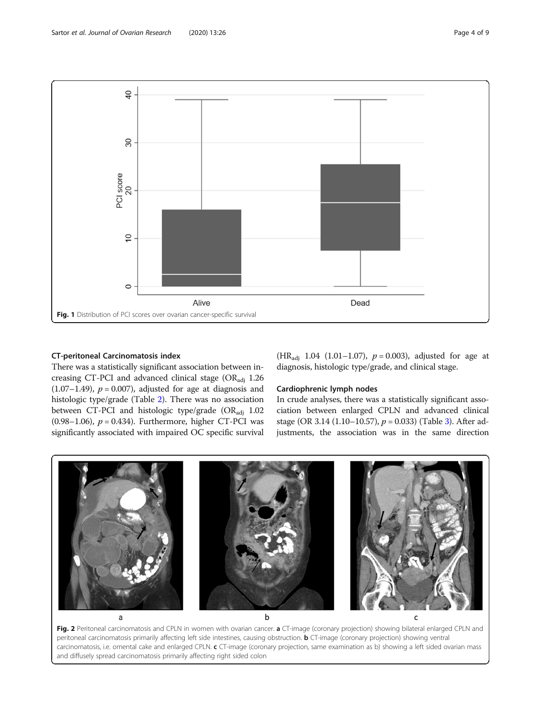<span id="page-3-0"></span>

#### CT-peritoneal Carcinomatosis index

There was a statistically significant association between increasing CT-PCI and advanced clinical stage  $(OR_{\text{adj}} 1.26$ (1.07–1.49),  $p = 0.007$ ), adjusted for age at diagnosis and histologic type/grade (Table [2](#page-4-0)). There was no association between CT-PCI and histologic type/grade (ORadj 1.02 (0.98–1.06),  $p = 0.434$ ). Furthermore, higher CT-PCI was significantly associated with impaired OC specific survival (HR<sub>adj</sub> 1.04 (1.01–1.07),  $p = 0.003$ ), adjusted for age at diagnosis, histologic type/grade, and clinical stage.

#### Cardiophrenic lymph nodes

In crude analyses, there was a statistically significant association between enlarged CPLN and advanced clinical stage (OR 3.14 (1.10–10.57),  $p = 0.033$ ) (Table [3\)](#page-5-0). After adjustments, the association was in the same direction



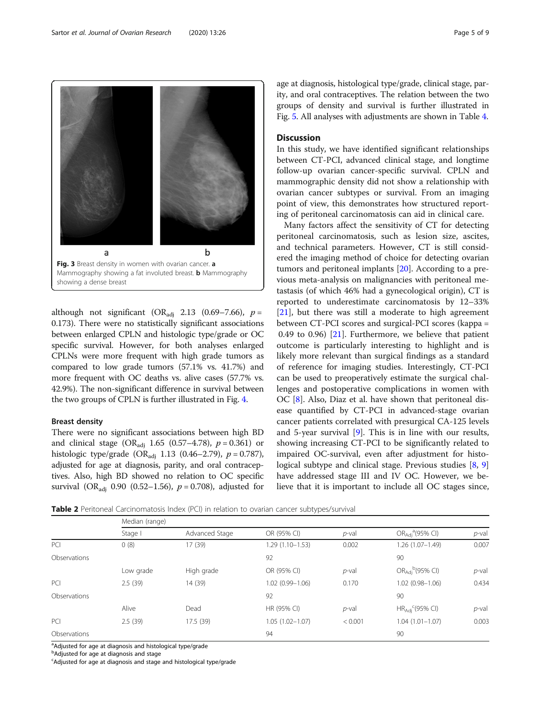although not significant (OR<sub>adi</sub> 2.13 (0.69–7.66),  $p =$ 0.173). There were no statistically significant associations between enlarged CPLN and histologic type/grade or OC specific survival. However, for both analyses enlarged CPLNs were more frequent with high grade tumors as compared to low grade tumors (57.1% vs. 41.7%) and more frequent with OC deaths vs. alive cases (57.7% vs. 42.9%). The non-significant difference in survival between the two groups of CPLN is further illustrated in Fig. [4](#page-5-0).

#### Breast density

There were no significant associations between high BD and clinical stage (OR<sub>adi</sub> 1.65 (0.57–4.78),  $p = 0.361$ ) or histologic type/grade (OR<sub>adj</sub> 1.13 (0.46–2.79),  $p = 0.787$ ), adjusted for age at diagnosis, parity, and oral contraceptives. Also, high BD showed no relation to OC specific survival (OR<sub>adi</sub> 0.90 (0.52–1.56),  $p = 0.708$ ), adjusted for

age at diagnosis, histological type/grade, clinical stage, parity, and oral contraceptives. The relation between the two groups of density and survival is further illustrated in Fig. [5](#page-6-0). All analyses with adjustments are shown in Table [4.](#page-6-0)

#### **Discussion**

In this study, we have identified significant relationships between CT-PCI, advanced clinical stage, and longtime follow-up ovarian cancer-specific survival. CPLN and mammographic density did not show a relationship with ovarian cancer subtypes or survival. From an imaging point of view, this demonstrates how structured reporting of peritoneal carcinomatosis can aid in clinical care.

Many factors affect the sensitivity of CT for detecting peritoneal carcinomatosis, such as lesion size, ascites, and technical parameters. However, CT is still considered the imaging method of choice for detecting ovarian tumors and peritoneal implants [[20\]](#page-8-0). According to a previous meta-analysis on malignancies with peritoneal metastasis (of which 46% had a gynecological origin), CT is reported to underestimate carcinomatosis by 12–33% [[21\]](#page-8-0), but there was still a moderate to high agreement between CT-PCI scores and surgical-PCI scores (kappa = 0.49 to 0.96) [[21](#page-8-0)]. Furthermore, we believe that patient outcome is particularly interesting to highlight and is likely more relevant than surgical findings as a standard of reference for imaging studies. Interestingly, CT-PCI can be used to preoperatively estimate the surgical challenges and postoperative complications in women with OC [[8](#page-8-0)]. Also, Diaz et al. have shown that peritoneal disease quantified by CT-PCI in advanced-stage ovarian cancer patients correlated with presurgical CA-125 levels and 5-year survival [[9\]](#page-8-0). This is in line with our results, showing increasing CT-PCI to be significantly related to impaired OC-survival, even after adjustment for histological subtype and clinical stage. Previous studies [[8,](#page-8-0) [9](#page-8-0)] have addressed stage III and IV OC. However, we believe that it is important to include all OC stages since,



|              | Median (range) |                |                     |          |                                               |          |  |
|--------------|----------------|----------------|---------------------|----------|-----------------------------------------------|----------|--|
|              | Stage I        | Advanced Stage | OR (95% CI)         | $p$ -val | OR <sub>Adj</sub> <sup>a</sup> (95% CI)       | $p$ -val |  |
| PCI          | 0(8)           | 17 (39)        | $1.29(1.10 - 1.53)$ | 0.002    | $1.26(1.07-1.49)$                             | 0.007    |  |
| Observations |                |                | 92                  |          | 90                                            |          |  |
|              | Low grade      | High grade     | OR (95% CI)         | $p$ -val | $OR_{\text{Adj}}^{\text{b}}(95\% \text{ Cl})$ | $p$ -val |  |
| PCI          | 2.5(39)        | 14 (39)        | $1.02(0.99 - 1.06)$ | 0.170    | $1.02(0.98 - 1.06)$                           | 0.434    |  |
| Observations |                |                | 92                  |          | 90                                            |          |  |
|              | Alive          | Dead           | HR (95% CI)         | $p$ -val | $HR_{\rm Adi}^{\ c}$ (95% CI)                 | $p$ -val |  |
| PCI          | 2.5(39)        | 17.5 (39)      | $1.05(1.02 - 1.07)$ | < 0.001  | $1.04(1.01 - 1.07)$                           | 0.003    |  |
| Observations |                |                | 94                  |          | 90                                            |          |  |

<sup>a</sup>Adjusted for age at diagnosis and histological type/grade

**b**Adjusted for age at diagnosis and stage

Adjusted for age at diagnosis and stage and histological type/grade

<span id="page-4-0"></span>Sartor et al. Journal of Ovarian Research (2020) 13:26 Page 5 of 9

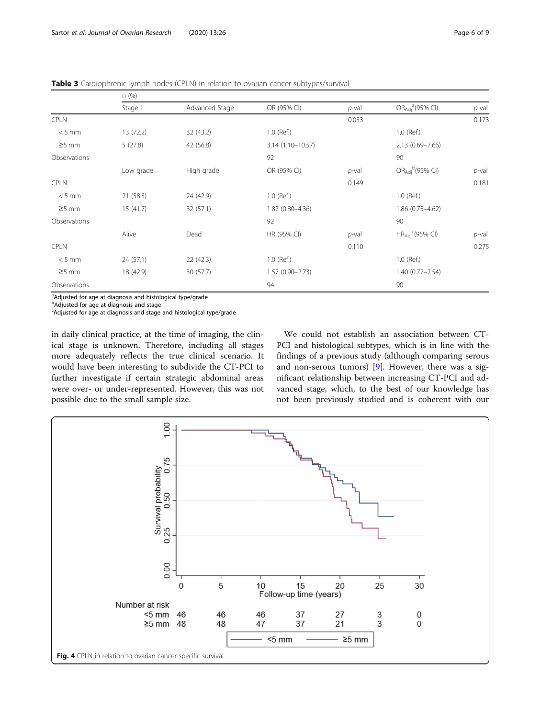<span id="page-5-0"></span>Table 3 Cardiophrenic lymph nodes (CPLN) in relation to ovarian cancer subtypes/survival

|              | n (%)     |                |                     |          |                                         |          |
|--------------|-----------|----------------|---------------------|----------|-----------------------------------------|----------|
|              | Stage I   | Advanced Stage | OR (95% CI)         | $p$ -val | OR <sub>Adj</sub> <sup>a</sup> (95% CI) | $p$ -val |
| <b>CPLN</b>  |           |                |                     | 0.033    |                                         | 0.173    |
| $< 5$ mm     | 13 (72.2) | 32 (43.2)      | 1.0 (Ref.)          |          | 1.0 (Ref.)                              |          |
| $\geq$ 5 mm  | 5(27.8)   | 42 (56.8)      | 3.14 (1.10-10.57)   |          | $2.13(0.69 - 7.66)$                     |          |
| Observations |           |                | 92                  |          | 90                                      |          |
|              | Low grade | High grade     | OR (95% CI)         | $p$ -val | $OR_{Adj}^{\text{b}}(95\% \text{ Cl})$  | $p$ -val |
| <b>CPLN</b>  |           |                |                     | 0.149    |                                         | 0.181    |
| $< 5$ mm     | 21(58.3)  | 24 (42.9)      | 1.0 (Ref.)          |          | 1.0 (Ref.)                              |          |
| $\geq$ 5 mm  | 15(41.7)  | 32(57.1)       | 1.87 (0.80-4.36)    |          | $1.86(0.75 - 4.62)$                     |          |
| Observations |           |                | 92                  |          | 90                                      |          |
|              | Alive     | Dead           | HR (95% CI)         | $p$ -val | $HR_{Adj}^c(95\% \text{ Cl})$           | $p$ -val |
| <b>CPLN</b>  |           |                |                     | 0.110    |                                         | 0.275    |
| $< 5$ mm     | 24(57.1)  | 22(42.3)       | 1.0 (Ref.)          |          | 1.0 (Ref.)                              |          |
| $\geq$ 5 mm  | 18 (42.9) | 30(57.7)       | $1.57(0.90 - 2.73)$ |          | $1.40(0.77 - 2.54)$                     |          |
| Observations |           |                | 94                  |          | 90                                      |          |

<sup>a</sup>Adjusted for age at diagnosis and histological type/grade

**b**Adjusted for age at diagnosis and stage

Adjusted for age at diagnosis and stage and histological type/grade

in daily clinical practice, at the time of imaging, the clinical stage is unknown. Therefore, including all stages more adequately reflects the true clinical scenario. It would have been interesting to subdivide the CT-PCI to further investigate if certain strategic abdominal areas were over- or under-represented. However, this was not possible due to the small sample size.

We could not establish an association between CT-PCI and histological subtypes, which is in line with the findings of a previous study (although comparing serous and non-serous tumors) [[9\]](#page-8-0). However, there was a significant relationship between increasing CT-PCI and advanced stage, which, to the best of our knowledge has not been previously studied and is coherent with our

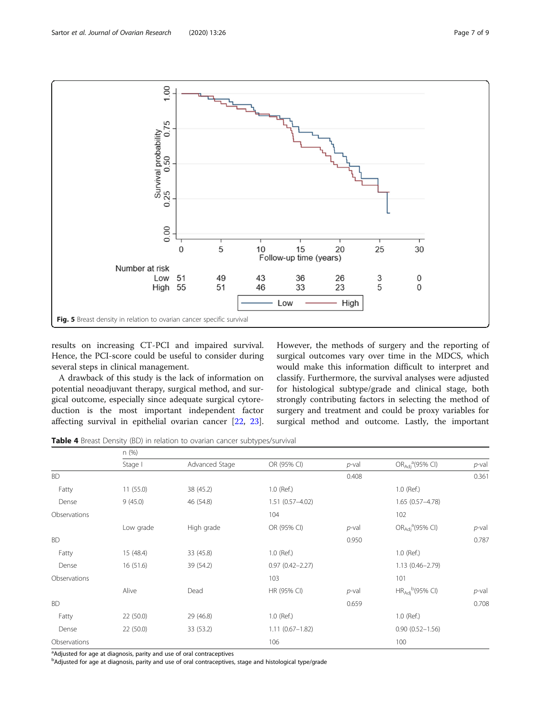<span id="page-6-0"></span>

results on increasing CT-PCI and impaired survival. Hence, the PCI-score could be useful to consider during several steps in clinical management.

A drawback of this study is the lack of information on potential neoadjuvant therapy, surgical method, and surgical outcome, especially since adequate surgical cytoreduction is the most important independent factor affecting survival in epithelial ovarian cancer [\[22](#page-8-0), [23](#page-8-0)]. However, the methods of surgery and the reporting of surgical outcomes vary over time in the MDCS, which would make this information difficult to interpret and classify. Furthermore, the survival analyses were adjusted for histological subtype/grade and clinical stage, both strongly contributing factors in selecting the method of surgery and treatment and could be proxy variables for surgical method and outcome. Lastly, the important

Table 4 Breast Density (BD) in relation to ovarian cancer subtypes/survival

|              | n (%)     |                |                     |          |                                           |          |
|--------------|-----------|----------------|---------------------|----------|-------------------------------------------|----------|
|              | Stage I   | Advanced Stage | OR (95% CI)         | $p$ -val | OR <sub>Adi</sub> <sup>a</sup> (95% CI)   | $p$ -val |
| <b>BD</b>    |           |                |                     | 0.408    |                                           | 0.361    |
| Fatty        | 11(55.0)  | 38 (45.2)      | 1.0 (Ref.)          |          | 1.0 (Ref.)                                |          |
| Dense        | 9(45.0)   | 46 (54.8)      | $1.51(0.57 - 4.02)$ |          | $1.65(0.57 - 4.78)$                       |          |
| Observations |           |                | 104                 |          | 102                                       |          |
|              | Low grade | High grade     | OR (95% CI)         | $p$ -val | OR <sub>Adi</sub> <sup>a</sup> (95% CI)   | $p$ -val |
| <b>BD</b>    |           |                |                     | 0.950    |                                           | 0.787    |
| Fatty        | 15 (48.4) | 33 (45.8)      | 1.0 (Ref.)          |          | 1.0 (Ref.)                                |          |
| Dense        | 16(51.6)  | 39 (54.2)      | $0.97(0.42 - 2.27)$ |          | $1.13(0.46 - 2.79)$                       |          |
| Observations |           |                | 103                 |          | 101                                       |          |
|              | Alive     | Dead           | HR (95% CI)         | $p$ -val | $HR_{Adj}^{\phantom{G}}(95\% \text{ Cl})$ | $p$ -val |
| <b>BD</b>    |           |                |                     | 0.659    |                                           | 0.708    |
| Fatty        | 22 (50.0) | 29 (46.8)      | 1.0 (Ref.)          |          | 1.0 (Ref.)                                |          |
| Dense        | 22 (50.0) | 33 (53.2)      | $1.11(0.67 - 1.82)$ |          | $0.90(0.52 - 1.56)$                       |          |
| Observations |           |                | 106                 |          | 100                                       |          |

<sup>a</sup>Adjusted for age at diagnosis, parity and use of oral contraceptives

<sup>b</sup>Adjusted for age at diagnosis, parity and use of oral contraceptives, stage and histological type/grade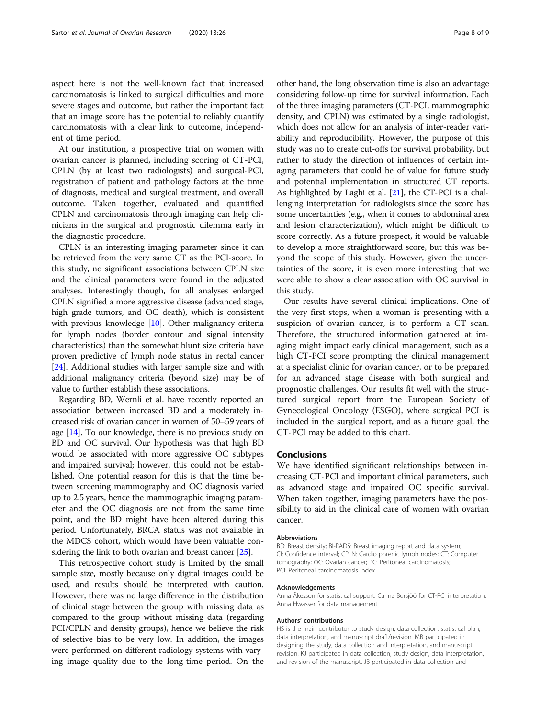aspect here is not the well-known fact that increased carcinomatosis is linked to surgical difficulties and more severe stages and outcome, but rather the important fact that an image score has the potential to reliably quantify carcinomatosis with a clear link to outcome, independent of time period.

At our institution, a prospective trial on women with ovarian cancer is planned, including scoring of CT-PCI, CPLN (by at least two radiologists) and surgical-PCI, registration of patient and pathology factors at the time of diagnosis, medical and surgical treatment, and overall outcome. Taken together, evaluated and quantified CPLN and carcinomatosis through imaging can help clinicians in the surgical and prognostic dilemma early in the diagnostic procedure.

CPLN is an interesting imaging parameter since it can be retrieved from the very same CT as the PCI-score. In this study, no significant associations between CPLN size and the clinical parameters were found in the adjusted analyses. Interestingly though, for all analyses enlarged CPLN signified a more aggressive disease (advanced stage, high grade tumors, and OC death), which is consistent with previous knowledge [\[10\]](#page-8-0). Other malignancy criteria for lymph nodes (border contour and signal intensity characteristics) than the somewhat blunt size criteria have proven predictive of lymph node status in rectal cancer [[24](#page-8-0)]. Additional studies with larger sample size and with additional malignancy criteria (beyond size) may be of value to further establish these associations.

Regarding BD, Wernli et al. have recently reported an association between increased BD and a moderately increased risk of ovarian cancer in women of 50–59 years of age [\[14\]](#page-8-0). To our knowledge, there is no previous study on BD and OC survival. Our hypothesis was that high BD would be associated with more aggressive OC subtypes and impaired survival; however, this could not be established. One potential reason for this is that the time between screening mammography and OC diagnosis varied up to 2.5 years, hence the mammographic imaging parameter and the OC diagnosis are not from the same time point, and the BD might have been altered during this period. Unfortunately, BRCA status was not available in the MDCS cohort, which would have been valuable considering the link to both ovarian and breast cancer [[25](#page-8-0)].

This retrospective cohort study is limited by the small sample size, mostly because only digital images could be used, and results should be interpreted with caution. However, there was no large difference in the distribution of clinical stage between the group with missing data as compared to the group without missing data (regarding PCI/CPLN and density groups), hence we believe the risk of selective bias to be very low. In addition, the images were performed on different radiology systems with varying image quality due to the long-time period. On the other hand, the long observation time is also an advantage considering follow-up time for survival information. Each of the three imaging parameters (CT-PCI, mammographic density, and CPLN) was estimated by a single radiologist, which does not allow for an analysis of inter-reader variability and reproducibility. However, the purpose of this study was no to create cut-offs for survival probability, but rather to study the direction of influences of certain imaging parameters that could be of value for future study and potential implementation in structured CT reports. As highlighted by Laghi et al. [[21](#page-8-0)], the CT-PCI is a challenging interpretation for radiologists since the score has some uncertainties (e.g., when it comes to abdominal area and lesion characterization), which might be difficult to score correctly. As a future prospect, it would be valuable to develop a more straightforward score, but this was beyond the scope of this study. However, given the uncertainties of the score, it is even more interesting that we were able to show a clear association with OC survival in this study.

Our results have several clinical implications. One of the very first steps, when a woman is presenting with a suspicion of ovarian cancer, is to perform a CT scan. Therefore, the structured information gathered at imaging might impact early clinical management, such as a high CT-PCI score prompting the clinical management at a specialist clinic for ovarian cancer, or to be prepared for an advanced stage disease with both surgical and prognostic challenges. Our results fit well with the structured surgical report from the European Society of Gynecological Oncology (ESGO), where surgical PCI is included in the surgical report, and as a future goal, the CT-PCI may be added to this chart.

#### Conclusions

We have identified significant relationships between increasing CT-PCI and important clinical parameters, such as advanced stage and impaired OC specific survival. When taken together, imaging parameters have the possibility to aid in the clinical care of women with ovarian cancer.

#### Abbreviations

BD: Breast density; BI-RADS: Breast imaging report and data system; CI: Confidence interval; CPLN: Cardio phrenic lymph nodes; CT: Computer tomography; OC: Ovarian cancer; PC: Peritoneal carcinomatosis; PCI: Peritoneal carcinomatosis index

#### Acknowledgements

Anna Åkesson for statistical support. Carina Bursjöö for CT-PCI interpretation. Anna Hwasser for data management.

#### Authors' contributions

HS is the main contributor to study design, data collection, statistical plan, data interpretation, and manuscript draft/revision. MB participated in designing the study, data collection and interpretation, and manuscript revision. KJ participated in data collection, study design, data interpretation, and revision of the manuscript. JB participated in data collection and